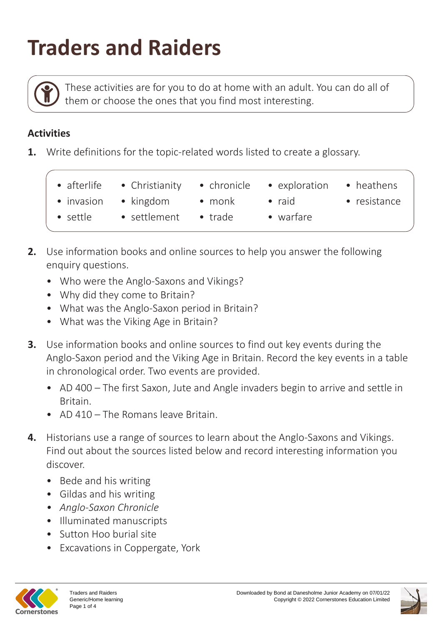## **Traders and Raiders**

These activities are for you to do at home with an adult. You can do all of them or choose the ones that you find most interesting.

## **Activities**

- **1.** Write definitions for the topic-related words listed to create a glossary.
	- - afterlife Christianity chronicle exploration heathens
- chronicle
- exploration
- 

- settle
- 
- trade
- 
- 
- settlement
- warfare
- invasion kingdom monk raid resistance
- 
- 
- 
- 
- **2.** Use information books and online sources to help you answer the following enquiry questions.
	- Who were the Anglo-Saxons and Vikings?
	- Why did they come to Britain?
	- What was the Anglo-Saxon period in Britain?
	- What was the Viking Age in Britain?
- **3.** Use information books and online sources to find out key events during the Anglo-Saxon period and the Viking Age in Britain. Record the key events in a table in chronological order. Two events are provided.
	- AD 400 The first Saxon, Jute and Angle invaders begin to arrive and settle in Britain.
	- AD 410 The Romans leave Britain.
- **4.** Historians use a range of sources to learn about the Anglo-Saxons and Vikings. Find out about the sources listed below and record interesting information you discover.
	- Bede and his writing
	- Gildas and his writing
	- *• Anglo-Saxon Chronicle*
	- Illuminated manuscripts
	- Sutton Hoo burial site
	- Excavations in Coppergate, York



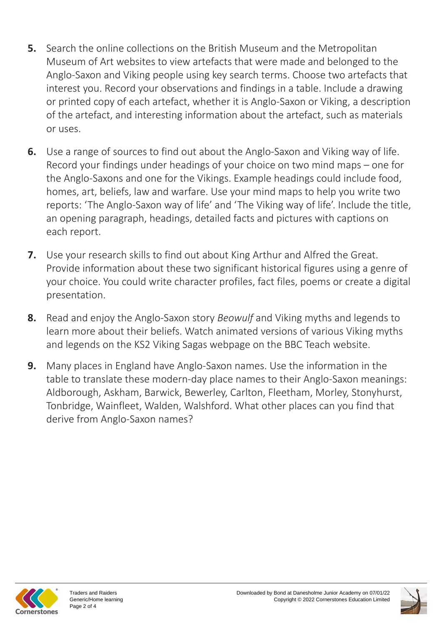- **5.** Search the online collections on the British Museum and the Metropolitan Museum of Art websites to view artefacts that were made and belonged to the Anglo-Saxon and Viking people using key search terms. Choose two artefacts that interest you. Record your observations and findings in a table. Include a drawing or printed copy of each artefact, whether it is Anglo-Saxon or Viking, a description of the artefact, and interesting information about the artefact, such as materials or uses.
- **6.** Use a range of sources to find out about the Anglo-Saxon and Viking way of life. Record your findings under headings of your choice on two mind maps – one for the Anglo-Saxons and one for the Vikings. Example headings could include food, homes, art, beliefs, law and warfare. Use your mind maps to help you write two reports: 'The Anglo-Saxon way of life' and 'The Viking way of life'. Include the title, an opening paragraph, headings, detailed facts and pictures with captions on each report.
- **7.** Use your research skills to find out about King Arthur and Alfred the Great. Provide information about these two significant historical figures using a genre of your choice. You could write character profiles, fact files, poems or create a digital presentation.
- **8.** Read and enjoy the Anglo-Saxon story *Beowulf* and Viking myths and legends to learn more about their beliefs. Watch animated versions of various Viking myths and legends on the KS2 Viking Sagas webpage on the BBC Teach website.
- **9.** Many places in England have Anglo-Saxon names. Use the information in the table to translate these modern-day place names to their Anglo-Saxon meanings: Aldborough, Askham, Barwick, Bewerley, Carlton, Fleetham, Morley, Stonyhurst, Tonbridge, Wainfleet, Walden, Walshford. What other places can you find that derive from Anglo-Saxon names?



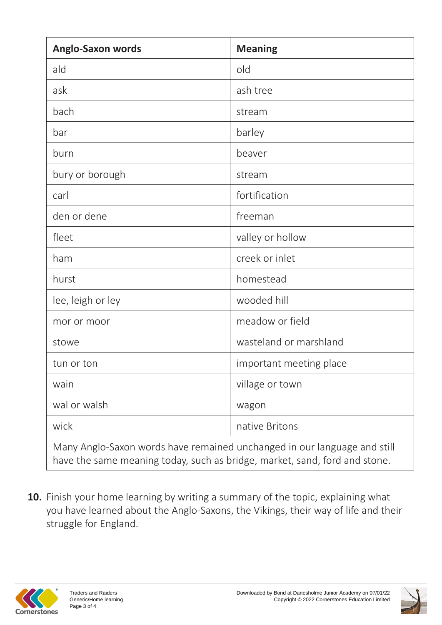| <b>Anglo-Saxon words</b>                                                                                                                               | <b>Meaning</b>          |  |
|--------------------------------------------------------------------------------------------------------------------------------------------------------|-------------------------|--|
| ald                                                                                                                                                    | old                     |  |
| ask                                                                                                                                                    | ash tree                |  |
| bach                                                                                                                                                   | stream                  |  |
| bar                                                                                                                                                    | barley                  |  |
| burn                                                                                                                                                   | beaver                  |  |
| bury or borough                                                                                                                                        | stream                  |  |
| carl                                                                                                                                                   | fortification           |  |
| den or dene                                                                                                                                            | freeman                 |  |
| fleet                                                                                                                                                  | valley or hollow        |  |
| ham                                                                                                                                                    | creek or inlet          |  |
| hurst                                                                                                                                                  | homestead               |  |
| lee, leigh or ley                                                                                                                                      | wooded hill             |  |
| mor or moor                                                                                                                                            | meadow or field         |  |
| stowe                                                                                                                                                  | wasteland or marshland  |  |
| tun or ton                                                                                                                                             | important meeting place |  |
| wain                                                                                                                                                   | village or town         |  |
| wal or walsh                                                                                                                                           | wagon                   |  |
| wick                                                                                                                                                   | native Britons          |  |
| Many Anglo-Saxon words have remained unchanged in our language and still<br>have the same meaning today, such as bridge, market, sand, ford and stone. |                         |  |

**10.** Finish your home learning by writing a summary of the topic, explaining what you have learned about the Anglo-Saxons, the Vikings, their way of life and their struggle for England.